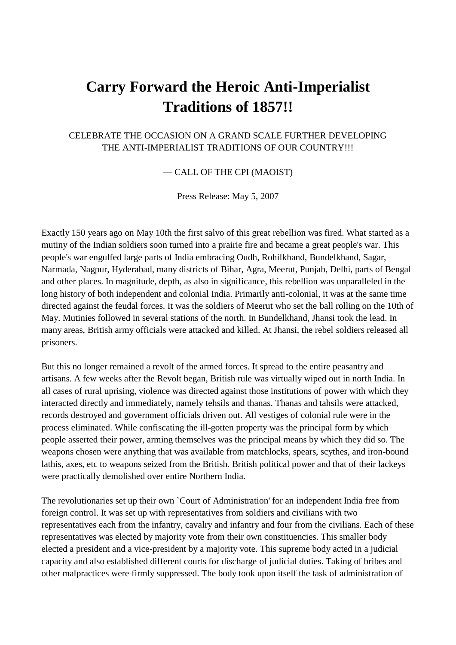## **Carry Forward the Heroic Anti-Imperialist Traditions of 1857!!**

## CELEBRATE THE OCCASION ON A GRAND SCALE FURTHER DEVELOPING THE ANTI-IMPERIALIST TRADITIONS OF OUR COUNTRY!!!

— CALL OF THE CPI (MAOIST)

Press Release: May 5, 2007

Exactly 150 years ago on May 10th the first salvo of this great rebellion was fired. What started as a mutiny of the Indian soldiers soon turned into a prairie fire and became a great people's war. This people's war engulfed large parts of India embracing Oudh, Rohilkhand, Bundelkhand, Sagar, Narmada, Nagpur, Hyderabad, many districts of Bihar, Agra, Meerut, Punjab, Delhi, parts of Bengal and other places. In magnitude, depth, as also in significance, this rebellion was unparalleled in the long history of both independent and colonial India. Primarily anti-colonial, it was at the same time directed against the feudal forces. It was the soldiers of Meerut who set the ball rolling on the 10th of May. Mutinies followed in several stations of the north. In Bundelkhand, Jhansi took the lead. In many areas, British army officials were attacked and killed. At Jhansi, the rebel soldiers released all prisoners.

But this no longer remained a revolt of the armed forces. It spread to the entire peasantry and artisans. A few weeks after the Revolt began, British rule was virtually wiped out in north India. In all cases of rural uprising, violence was directed against those institutions of power with which they interacted directly and immediately, namely tehsils and thanas. Thanas and tahsils were attacked, records destroyed and government officials driven out. All vestiges of colonial rule were in the process eliminated. While confiscating the ill-gotten property was the principal form by which people asserted their power, arming themselves was the principal means by which they did so. The weapons chosen were anything that was available from matchlocks, spears, scythes, and iron-bound lathis, axes, etc to weapons seized from the British. British political power and that of their lackeys were practically demolished over entire Northern India.

The revolutionaries set up their own `Court of Administration' for an independent India free from foreign control. It was set up with representatives from soldiers and civilians with two representatives each from the infantry, cavalry and infantry and four from the civilians. Each of these representatives was elected by majority vote from their own constituencies. This smaller body elected a president and a vice-president by a majority vote. This supreme body acted in a judicial capacity and also established different courts for discharge of judicial duties. Taking of bribes and other malpractices were firmly suppressed. The body took upon itself the task of administration of